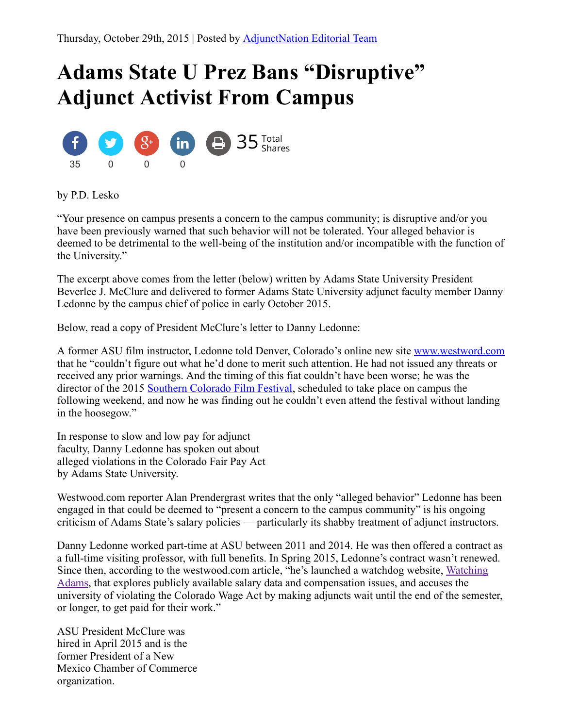## Adams State U Prez Bans "Disruptive" Adjunct Activist From Campus



by P.D. Lesko

"Your presence on campus presents a concern to the campus community; is disruptive and/or you have been previously warned that such behavior will not be tolerated. Your alleged behavior is deemed to be detrimental to the well-being of the institution and/or incompatible with the function of the University."

The excerpt above comes from the letter (below) written by Adams State University President Beverlee J. McClure and delivered to former Adams State University adjunct faculty member Danny Ledonne by the campus chief of police in early October 2015.

Below, read a copy of President McClure's letter to Danny Ledonne:

A former ASU film instructor, Ledonne told Denver, Colorado's online new site [www.westword.com](http://www.westword.com/) that he "couldn't figure out what he'd done to merit such attention. He had not issued any threats or received any prior warnings. And the timing of this fiat couldn't have been worse; he was the director of the 2015 Southern [Colorado](http://blogs.adams.edu/socofilmfest/about/) Film Festival, scheduled to take place on campus the following weekend, and now he was finding out he couldn't even attend the festival without landing in the hoosegow."

In response to slow and low pay for adjunct faculty, Danny Ledonne has spoken out about alleged violations in the Colorado Fair Pay Act by Adams State University.

Westwood.com reporter Alan Prendergrast writes that the only "alleged behavior" Ledonne has been engaged in that could be deemed to "present a concern to the campus community" is his ongoing criticism of Adams State's salary policies — particularly its shabby treatment of adjunct instructors.

Danny Ledonne worked part-time at ASU between 2011 and 2014. He was then offered a contract as a full-time visiting professor, with full benefits. In Spring 2015, Ledonne's contract wasn't renewed. Since then, according to the [westwood.com](http://watchingadams.org/) article, "he's launched a watchdog website, Watching Adams, that explores publicly available salary data and compensation issues, and accuses the university of violating the Colorado Wage Act by making adjuncts wait until the end of the semester, or longer, to get paid for their work."

ASU President McClure was hired in April 2015 and is the former President of a New Mexico Chamber of Commerce organization.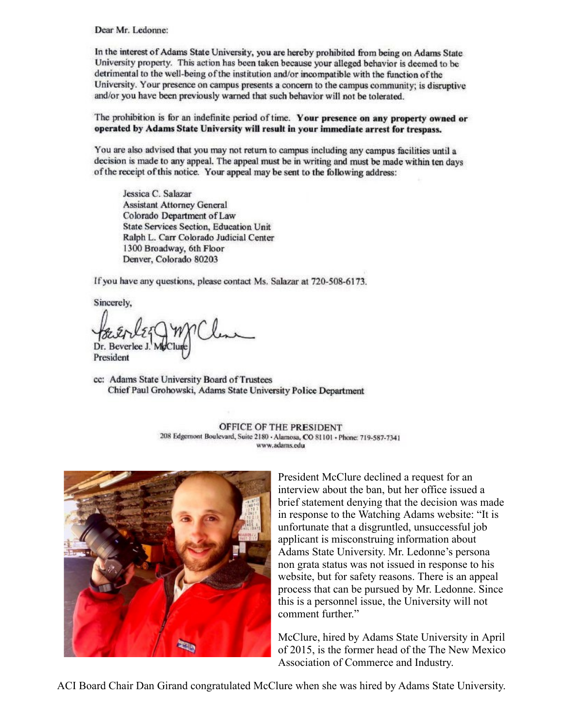Dear Mr. Ledonne:

In the interest of Adams State University, you are hereby prohibited from being on Adams State University property. This action has been taken because your alleged behavior is deemed to be detrimental to the well-being of the institution and/or incompatible with the function of the University. Your presence on campus presents a concern to the campus community; is disruptive and/or you have been previously warned that such behavior will not be tolerated.

The prohibition is for an indefinite period of time. Your presence on any property owned or operated by Adams State University will result in your immediate arrest for trespass.

You are also advised that you may not return to campus including any campus facilities until a decision is made to any appeal. The appeal must be in writing and must be made within ten days of the receipt of this notice. Your appeal may be sent to the following address:

Jessica C. Salazar **Assistant Attorney General** Colorado Department of Law **State Services Section, Education Unit** Ralph L. Carr Colorado Judicial Center 1300 Broadway, 6th Floor Denver, Colorado 80203

If you have any questions, please contact Ms. Salazar at 720-508-6173.

Sincerely,

Dr. Beverlee President

cc: Adams State University Board of Trustees Chief Paul Grohowski, Adams State University Police Department

OFFICE OF THE PRESIDENT 208 Edgemont Boulevard, Suite 2180 - Alamosa, CO 81101 - Phone: 719-587-7341 www.adams.edu



President McClure declined a request for an interview about the ban, but her office issued a brief statement denying that the decision was made in response to the Watching Adams website: "It is unfortunate that a disgruntled, unsuccessful job applicant is misconstruing information about Adams State University. Mr. Ledonne's persona non grata status was not issued in response to his website, but for safety reasons. There is an appeal process that can be pursued by Mr. Ledonne. Since this is a personnel issue, the University will not comment further"

McClure, hired by Adams State University in April of 2015, is the former head of the The New Mexico Association of Commerce and Industry.

ACI Board Chair Dan Girand congratulated McClure when she was hired by Adams State University.